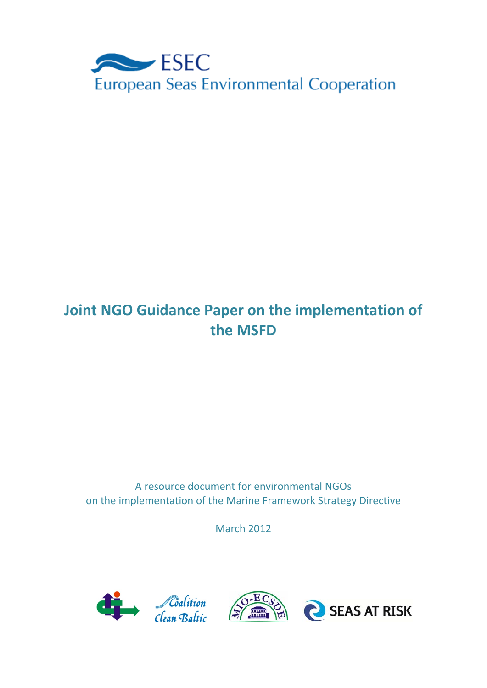

# **Joint NGO Guidance Paper on the implementation of the MSFD**

A resource document for environmental NGOs on the implementation of the Marine Framework Strategy Directive

March 2012

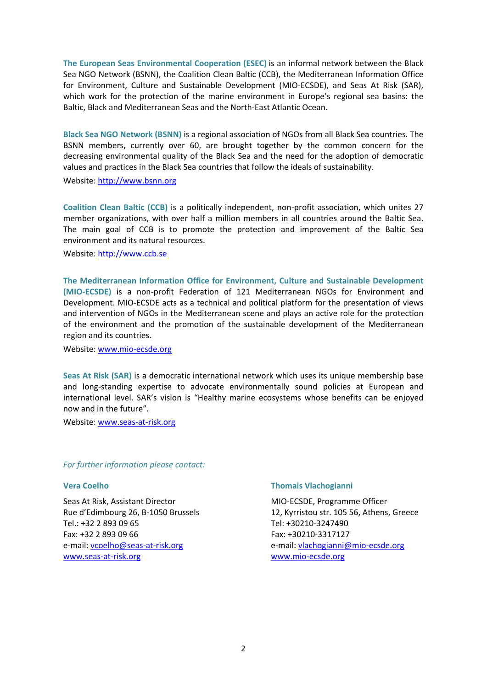**The European Seas Environmental Cooperation (ESEC)** is an informal network between the Black Sea NGO Network (BSNN), the Coalition Clean Baltic (CCB), the Mediterranean Information Office for Environment, Culture and Sustainable Development (MIO‐ECSDE), and Seas At Risk (SAR), which work for the protection of the marine environment in Europe's regional sea basins: the Baltic, Black and Mediterranean Seas and the North‐East Atlantic Ocean.

**Black Sea NGO Network (BSNN)** is a regional association of NGOs from all Black Sea countries. The BSNN members, currently over 60, are brought together by the common concern for the decreasing environmental quality of the Black Sea and the need for the adoption of democratic values and practices in the Black Sea countries that follow the ideals of sustainability.

Website: http://www.bsnn.org

**Coalition Clean Baltic (CCB)** is a politically independent, non‐profit association, which unites 27 member organizations, with over half a million members in all countries around the Baltic Sea. The main goal of CCB is to promote the protection and improvement of the Baltic Sea environment and its natural resources.

Website: http://www.ccb.se

**The Mediterranean Information Office for Environment, Culture and Sustainable Development (MIO‐ECSDE)** is a non‐profit Federation of 121 Mediterranean NGOs for Environment and Development. MIO‐ECSDE acts as a technical and political platform for the presentation of views and intervention of NGOs in the Mediterranean scene and plays an active role for the protection of the environment and the promotion of the sustainable development of the Mediterranean region and its countries.

Website: www.mio‐ecsde.org

**Seas At Risk (SAR)** is a democratic international network which uses its unique membership base and long‐standing expertise to advocate environmentally sound policies at European and international level. SAR's vision is "Healthy marine ecosystems whose benefits can be enjoyed now and in the future".

Website: www.seas-at-risk.org

*For further information please contact:*

#### **Vera Coelho**

Seas At Risk, Assistant Director Rue d'Edimbourg 26, B‐1050 Brussels Tel.: +32 2 893 09 65 Fax: +32 2 893 09 66 e‐mail: vcoelho@seas‐at‐risk.org www.seas‐at‐risk.org

#### **Thomais Vlachogianni**

MIO‐ECSDE, Programme Officer 12, Kyrristou str. 105 56, Athens, Greece Tel: +30210‐3247490 Fax: +30210‐3317127 e‐mail: vlachogianni@mio‐ecsde.org www.mio‐ecsde.org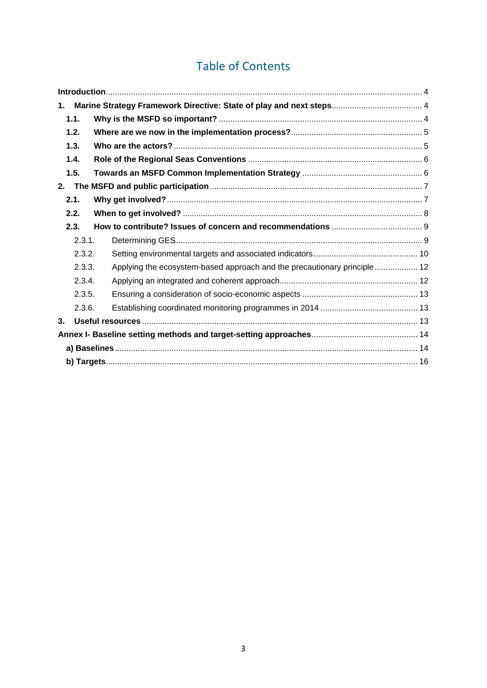## Table of Contents

| 1.             |                                                                          |  |  |  |  |
|----------------|--------------------------------------------------------------------------|--|--|--|--|
| 1.1.           |                                                                          |  |  |  |  |
| 1.2.           |                                                                          |  |  |  |  |
| 1.3.           |                                                                          |  |  |  |  |
| 1.4.           |                                                                          |  |  |  |  |
| 1.5.           |                                                                          |  |  |  |  |
| 2.             |                                                                          |  |  |  |  |
| 2.1.           |                                                                          |  |  |  |  |
| 2.2.           |                                                                          |  |  |  |  |
| 2.3.           |                                                                          |  |  |  |  |
| 2.3.1.         |                                                                          |  |  |  |  |
| 2.3.2.         |                                                                          |  |  |  |  |
| 2.3.3.         | Applying the ecosystem-based approach and the precautionary principle 12 |  |  |  |  |
| 2.3.4.         |                                                                          |  |  |  |  |
| 2.3.5.         |                                                                          |  |  |  |  |
| 2.3.6.         |                                                                          |  |  |  |  |
| 3 <sub>1</sub> |                                                                          |  |  |  |  |
|                |                                                                          |  |  |  |  |
|                |                                                                          |  |  |  |  |
|                |                                                                          |  |  |  |  |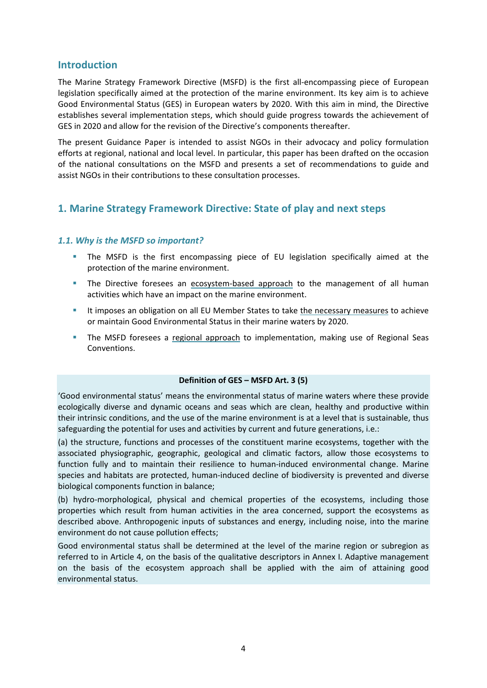## **Introduction**

The Marine Strategy Framework Directive (MSFD) is the first all-encompassing piece of European legislation specifically aimed at the protection of the marine environment. Its key aim is to achieve Good Environmental Status (GES) in European waters by 2020. With this aim in mind, the Directive establishes several implementation steps, which should guide progress towards the achievement of GES in 2020 and allow for the revision of the Directive's components thereafter.

The present Guidance Paper is intended to assist NGOs in their advocacy and policy formulation efforts at regional, national and local level. In particular, this paper has been drafted on the occasion of the national consultations on the MSFD and presents a set of recommendations to guide and assist NGOs in their contributions to these consultation processes.

## **1. Marine Strategy Framework Directive: State of play and next steps**

#### *1.1. Why is the MSFD so important?*

- The MSFD is the first encompassing piece of EU legislation specifically aimed at the protection of the marine environment.
- The Directive foresees an ecosystem-based approach to the management of all human activities which have an impact on the marine environment.
- It imposes an obligation on all EU Member States to take the necessary measures to achieve or maintain Good Environmental Status in their marine waters by 2020.
- **The MSFD foresees a regional approach to implementation, making use of Regional Seas** Conventions.

#### **Definition of GES – MSFD Art. 3 (5)**

'Good environmental status' means the environmental status of marine waters where these provide ecologically diverse and dynamic oceans and seas which are clean, healthy and productive within their intrinsic conditions, and the use of the marine environment is at a level that is sustainable, thus safeguarding the potential for uses and activities by current and future generations, i.e.:

(a) the structure, functions and processes of the constituent marine ecosystems, together with the associated physiographic, geographic, geological and climatic factors, allow those ecosystems to function fully and to maintain their resilience to human-induced environmental change. Marine species and habitats are protected, human-induced decline of biodiversity is prevented and diverse biological components function in balance;

(b) hydro‐morphological, physical and chemical properties of the ecosystems, including those properties which result from human activities in the area concerned, support the ecosystems as described above. Anthropogenic inputs of substances and energy, including noise, into the marine environment do not cause pollution effects;

Good environmental status shall be determined at the level of the marine region or subregion as referred to in Article 4, on the basis of the qualitative descriptors in Annex I. Adaptive management on the basis of the ecosystem approach shall be applied with the aim of attaining good environmental status.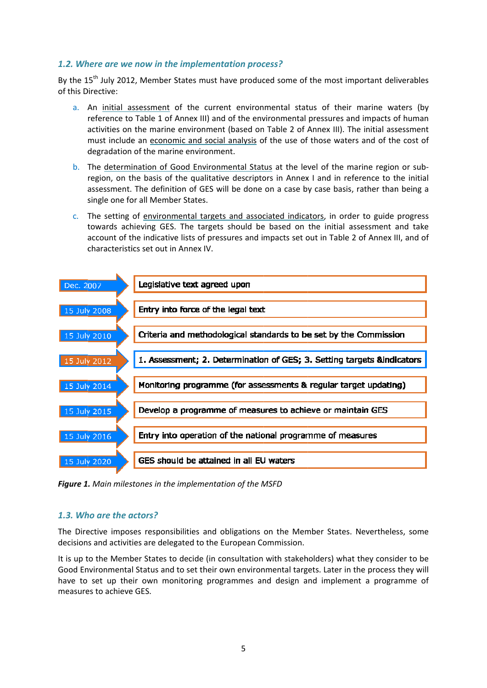## 1.2. Where are we now in the implementation process?

By the 15<sup>th</sup> July 2012, Member States must have produced some of the most important deliverables of this D Directive:

- a. An initial assessment of the current environmental status of their marine waters (by activities on the marine environment (based on Table 2 of Annex III). The initial assessment degradation of the marine environment. reference to Table 1 of Annex III) and of the environmental pressures and impacts of human must include an economic and social analysis of the use of those waters and of the cost of
- b. The determination of Good Environmental Status at the level of the marine region or subassessment. The definition of GES will be done on a case by case basis, rather than being a single one for all Member States. region, on the basis of the qualitative descriptors in Annex I and in reference to the initial
- c. The setting of environmental targets and associated indicators, in order to guide progress towards achieving GES. The targets should be based on the initial assessment and take account of the indicative lists of pressures and impacts set out in Table 2 of Annex III, and of characteristics set out in Annex IV.



*Figure 1 . Main miles stones in the implementa ation of the M MSFD*

## *1.3. Wh ho are the a actors?*

The Directive imposes responsibilities and obligations on the Member States. Nevertheless, some decisions and activities are delegated to the European Commission.

It is up to the Member States to decide (in consultation with stakeholders) what they consider to be Good Environmental Status and to set their own environmental targets. Later in the process they will have to set up their own monitoring programmes and design and implement a programme of measures to achieve GES.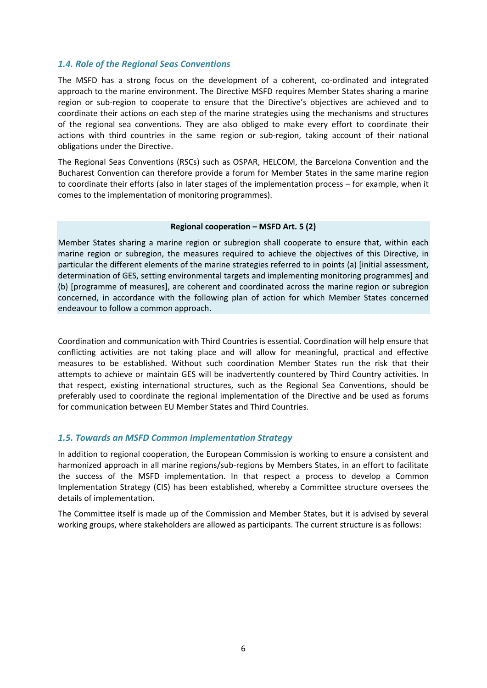#### *1.4. Role of the Regional Seas Conventions*

The MSFD has a strong focus on the development of a coherent, co-ordinated and integrated approach to the marine environment. The Directive MSFD requires Member States sharing a marine region or sub-region to cooperate to ensure that the Directive's objectives are achieved and to coordinate their actions on each step of the marine strategies using the mechanisms and structures of the regional sea conventions. They are also obliged to make every effort to coordinate their actions with third countries in the same region or sub-region, taking account of their national obligations under the Directive.

The Regional Seas Conventions (RSCs) such as OSPAR, HELCOM, the Barcelona Convention and the Bucharest Convention can therefore provide a forum for Member States in the same marine region to coordinate their efforts (also in later stages of the implementation process – for example, when it comes to the implementation of monitoring programmes).

#### **Regional cooperation – MSFD Art. 5 (2)**

Member States sharing a marine region or subregion shall cooperate to ensure that, within each marine region or subregion, the measures required to achieve the objectives of this Directive, in particular the different elements of the marine strategies referred to in points (a) [initial assessment, determination of GES, setting environmental targets and implementing monitoring programmes] and (b) [programme of measures], are coherent and coordinated across the marine region or subregion concerned, in accordance with the following plan of action for which Member States concerned endeavour to follow a common approach.

Coordination and communication with Third Countries is essential. Coordination will help ensure that conflicting activities are not taking place and will allow for meaningful, practical and effective measures to be established. Without such coordination Member States run the risk that their attempts to achieve or maintain GES will be inadvertently countered by Third Country activities. In that respect, existing international structures, such as the Regional Sea Conventions, should be preferably used to coordinate the regional implementation of the Directive and be used as forums for communication between EU Member States and Third Countries.

#### *1.5. Towards an MSFD Common Implementation Strategy*

In addition to regional cooperation, the European Commission is working to ensure a consistent and harmonized approach in all marine regions/sub-regions by Members States, in an effort to facilitate the success of the MSFD implementation. In that respect a process to develop a Common Implementation Strategy (CIS) has been established, whereby a Committee structure oversees the details of implementation.

The Committee itself is made up of the Commission and Member States, but it is advised by several working groups, where stakeholders are allowed as participants. The current structure is as follows: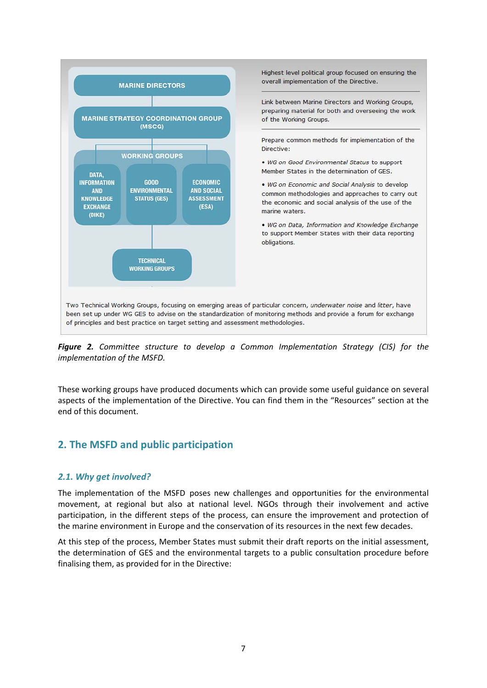

*Figure 2. Committee structure to develop a Common Implementation Strategy (CIS) for the implementation of the MSFD.*

These working groups have produced documents which can provide some useful guidance on several aspects of the implementation of the Directive. You can find them in the "Resources" section at the end of this document.

## **2. The MSFD and public participation**

#### *2.1. Why get involved?*

The implementation of the MSFD poses new challenges and opportunities for the environmental movement, at regional but also at national level. NGOs through their involvement and active participation, in the different steps of the process, can ensure the improvement and protection of the marine environment in Europe and the conservation of its resources in the next few decades.

At this step of the process, Member States must submit their draft reports on the initial assessment, the determination of GES and the environmental targets to a public consultation procedure before finalising them, as provided for in the Directive: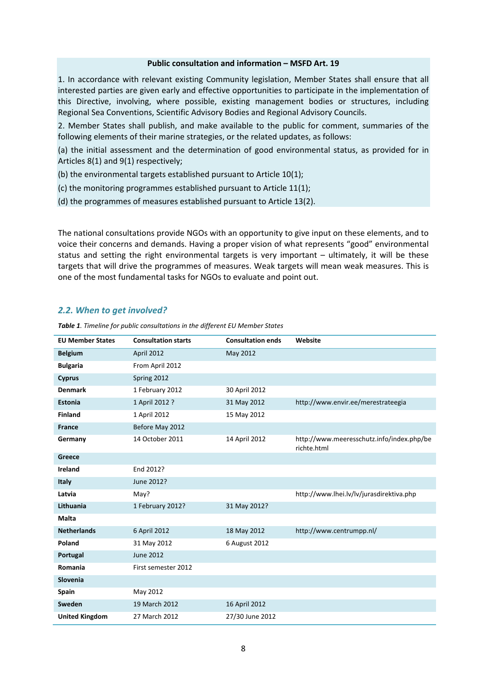#### **Public consultation and information – MSFD Art. 19**

1. In accordance with relevant existing Community legislation, Member States shall ensure that all interested parties are given early and effective opportunities to participate in the implementation of this Directive, involving, where possible, existing management bodies or structures, including Regional Sea Conventions, Scientific Advisory Bodies and Regional Advisory Councils.

2. Member States shall publish, and make available to the public for comment, summaries of the following elements of their marine strategies, or the related updates, as follows:

(a) the initial assessment and the determination of good environmental status, as provided for in Articles 8(1) and 9(1) respectively;

(b) the environmental targets established pursuant to Article 10(1);

- (c) the monitoring programmes established pursuant to Article 11(1);
- (d) the programmes of measures established pursuant to Article 13(2).

The national consultations provide NGOs with an opportunity to give input on these elements, and to voice their concerns and demands. Having a proper vision of what represents "good" environmental status and setting the right environmental targets is very important – ultimately, it will be these targets that will drive the programmes of measures. Weak targets will mean weak measures. This is one of the most fundamental tasks for NGOs to evaluate and point out.

#### *2.2. When to get involved?*

| <b>EU Member States</b> | <b>Consultation starts</b> | <b>Consultation ends</b> | Website                                                  |
|-------------------------|----------------------------|--------------------------|----------------------------------------------------------|
| <b>Belgium</b>          | April 2012                 | May 2012                 |                                                          |
| <b>Bulgaria</b>         | From April 2012            |                          |                                                          |
| <b>Cyprus</b>           | Spring 2012                |                          |                                                          |
| <b>Denmark</b>          | 1 February 2012            | 30 April 2012            |                                                          |
| <b>Estonia</b>          | 1 April 2012 ?             | 31 May 2012              | http://www.envir.ee/merestrateegia                       |
| <b>Finland</b>          | 1 April 2012               | 15 May 2012              |                                                          |
| <b>France</b>           | Before May 2012            |                          |                                                          |
| Germany                 | 14 October 2011            | 14 April 2012            | http://www.meeresschutz.info/index.php/be<br>richte.html |
| Greece                  |                            |                          |                                                          |
| <b>Ireland</b>          | End 2012?                  |                          |                                                          |
| <b>Italy</b>            | June 2012?                 |                          |                                                          |
| Latvia                  | May?                       |                          | http://www.lhei.lv/lv/jurasdirektiva.php                 |
| Lithuania               | 1 February 2012?           | 31 May 2012?             |                                                          |
| <b>Malta</b>            |                            |                          |                                                          |
| <b>Netherlands</b>      | 6 April 2012               | 18 May 2012              | http://www.centrumpp.nl/                                 |
| Poland                  | 31 May 2012                | 6 August 2012            |                                                          |
| Portugal                | <b>June 2012</b>           |                          |                                                          |
| Romania                 | First semester 2012        |                          |                                                          |
| Slovenia                |                            |                          |                                                          |
| <b>Spain</b>            | May 2012                   |                          |                                                          |
| Sweden                  | 19 March 2012              | 16 April 2012            |                                                          |
| <b>United Kingdom</b>   | 27 March 2012              | 27/30 June 2012          |                                                          |

*Table 1. Timeline for public consultations in the different EU Member States*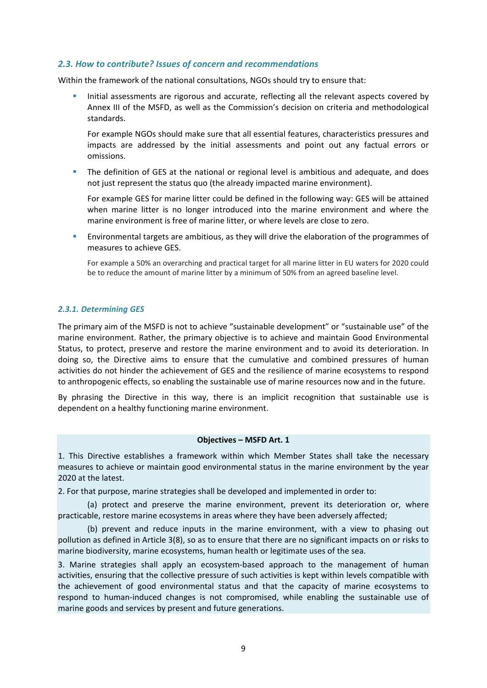#### *2.3. How to contribute? Issues of concern and recommendations*

Within the framework of the national consultations, NGOs should try to ensure that:

Initial assessments are rigorous and accurate, reflecting all the relevant aspects covered by Annex III of the MSFD, as well as the Commission's decision on criteria and methodological standards.

For example NGOs should make sure that all essential features, characteristics pressures and impacts are addressed by the initial assessments and point out any factual errors or omissions.

 The definition of GES at the national or regional level is ambitious and adequate, and does not just represent the status quo (the already impacted marine environment).

For example GES for marine litter could be defined in the following way: GES will be attained when marine litter is no longer introduced into the marine environment and where the marine environment is free of marine litter, or where levels are close to zero.

 Environmental targets are ambitious, as they will drive the elaboration of the programmes of measures to achieve GES.

For example a 50% an overarching and practical target for all marine litter in EU waters for 2020 could be to reduce the amount of marine litter by a minimum of 50% from an agreed baseline level.

#### *2.3.1. Determining GES*

The primary aim of the MSFD is not to achieve "sustainable development" or "sustainable use" of the marine environment. Rather, the primary objective is to achieve and maintain Good Environmental Status, to protect, preserve and restore the marine environment and to avoid its deterioration. In doing so, the Directive aims to ensure that the cumulative and combined pressures of human activities do not hinder the achievement of GES and the resilience of marine ecosystems to respond to anthropogenic effects, so enabling the sustainable use of marine resources now and in the future.

By phrasing the Directive in this way, there is an implicit recognition that sustainable use is dependent on a healthy functioning marine environment.

#### **Objectives – MSFD Art. 1**

1. This Directive establishes a framework within which Member States shall take the necessary measures to achieve or maintain good environmental status in the marine environment by the year 2020 at the latest.

2. For that purpose, marine strategies shall be developed and implemented in order to:

(a) protect and preserve the marine environment, prevent its deterioration or, where practicable, restore marine ecosystems in areas where they have been adversely affected;

(b) prevent and reduce inputs in the marine environment, with a view to phasing out pollution as defined in Article 3(8), so as to ensure that there are no significant impacts on or risks to marine biodiversity, marine ecosystems, human health or legitimate uses of the sea.

3. Marine strategies shall apply an ecosystem-based approach to the management of human activities, ensuring that the collective pressure of such activities is kept within levels compatible with the achievement of good environmental status and that the capacity of marine ecosystems to respond to human‐induced changes is not compromised, while enabling the sustainable use of marine goods and services by present and future generations.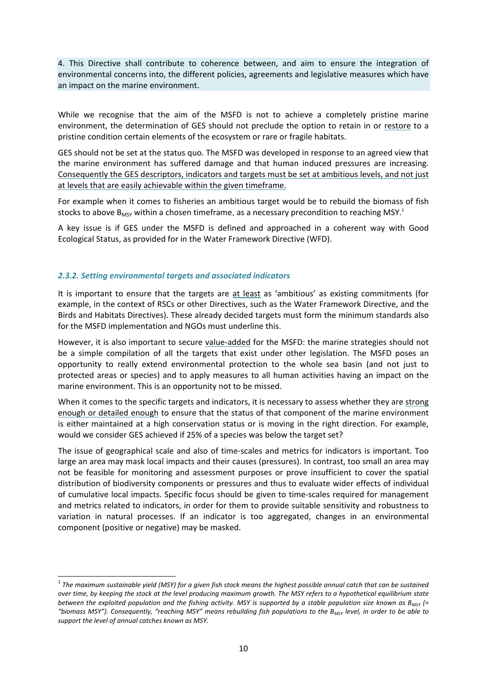4. This Directive shall contribute to coherence between, and aim to ensure the integration of environmental concerns into, the different policies, agreements and legislative measures which have an impact on the marine environment.

While we recognise that the aim of the MSFD is not to achieve a completely pristine marine environment, the determination of GES should not preclude the option to retain in or restore to a pristine condition certain elements of the ecosystem or rare or fragile habitats.

GES should not be set at the status quo. The MSFD was developed in response to an agreed view that the marine environment has suffered damage and that human induced pressures are increasing. Consequently the GES descriptors, indicators and targets must be set at ambitious levels, and not just at levels that are easily achievable within the given timeframe.

For example when it comes to fisheries an ambitious target would be to rebuild the biomass of fish stocks to above  $B_{MSV}$  within a chosen timeframe, as a necessary precondition to reaching MSY.<sup>1</sup>

A key issue is if GES under the MSFD is defined and approached in a coherent way with Good Ecological Status, as provided for in the Water Framework Directive (WFD).

#### *2.3.2. Setting environmental targets and associated indicators*

1

It is important to ensure that the targets are at least as 'ambitious' as existing commitments (for example, in the context of RSCs or other Directives, such as the Water Framework Directive, and the Birds and Habitats Directives). These already decided targets must form the minimum standards also for the MSFD implementation and NGOs must underline this.

However, it is also important to secure value‐added for the MSFD: the marine strategies should not be a simple compilation of all the targets that exist under other legislation. The MSFD poses an opportunity to really extend environmental protection to the whole sea basin (and not just to protected areas or species) and to apply measures to all human activities having an impact on the marine environment. This is an opportunity not to be missed.

When it comes to the specific targets and indicators, it is necessary to assess whether they are strong enough or detailed enough to ensure that the status of that component of the marine environment is either maintained at a high conservation status or is moving in the right direction. For example, would we consider GES achieved if 25% of a species was below the target set?

The issue of geographical scale and also of time‐scales and metrics for indicators is important. Too large an area may mask local impacts and their causes (pressures). In contrast, too small an area may not be feasible for monitoring and assessment purposes or prove insufficient to cover the spatial distribution of biodiversity components or pressures and thus to evaluate wider effects of individual of cumulative local impacts. Specific focus should be given to time‐scales required for management and metrics related to indicators, in order for them to provide suitable sensitivity and robustness to variation in natural processes. If an indicator is too aggregated, changes in an environmental component (positive or negative) may be masked.

 $^{\rm 1}$  The maximum sustainable yield (MSY) for a given fish stock means the highest possible annual catch that can be sustained over time, by keeping the stock at the level producing maximum growth. The MSY refers to a hypothetical equilibrium state between the exploited population and the fishing activity. MSY is supported by a stable population size known as  $B_{MST}$  (= "biomass MSY"). Consequently, "reaching MSY" means rebuilding fish populations to the B<sub>MSY</sub> level, in order to be able to *support the level of annual catches known as MSY.*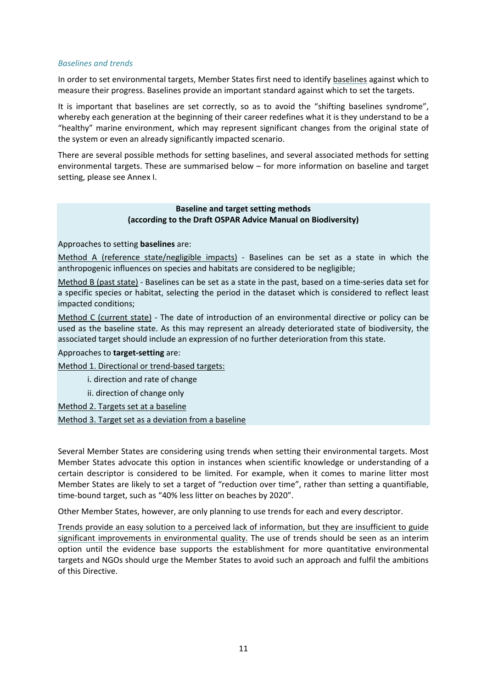#### *Baselines and trends*

In order to set environmental targets, Member States first need to identify baselines against which to measure their progress. Baselines provide an important standard against which to set the targets.

It is important that baselines are set correctly, so as to avoid the "shifting baselines syndrome", whereby each generation at the beginning of their career redefines what it is they understand to be a "healthy" marine environment, which may represent significant changes from the original state of the system or even an already significantly impacted scenario.

There are several possible methods for setting baselines, and several associated methods for setting environmental targets. These are summarised below – for more information on baseline and target setting, please see Annex I.

#### **Baseline and target setting methods (according to the Draft OSPAR Advice Manual on Biodiversity)**

Approaches to setting **baselines** are:

Method A (reference state/negligible impacts) - Baselines can be set as a state in which the anthropogenic influences on species and habitats are considered to be negligible;

Method B (past state) ‐ Baselines can be set as a state in the past, based on a time‐series data set for a specific species or habitat, selecting the period in the dataset which is considered to reflect least impacted conditions;

Method C (current state) - The date of introduction of an environmental directive or policy can be used as the baseline state. As this may represent an already deteriorated state of biodiversity, the associated target should include an expression of no further deterioration from this state.

#### Approaches to **target‐setting** are:

Method 1. Directional or trend‐based targets:

i. direction and rate of change

ii. direction of change only

Method 2. Targets set at a baseline

Method 3. Target set as a deviation from a baseline

Several Member States are considering using trends when setting their environmental targets. Most Member States advocate this option in instances when scientific knowledge or understanding of a certain descriptor is considered to be limited. For example, when it comes to marine litter most Member States are likely to set a target of "reduction over time", rather than setting a quantifiable, time‐bound target, such as "40% less litter on beaches by 2020".

Other Member States, however, are only planning to use trends for each and every descriptor.

Trends provide an easy solution to a perceived lack of information, but they are insufficient to guide significant improvements in environmental quality. The use of trends should be seen as an interim option until the evidence base supports the establishment for more quantitative environmental targets and NGOs should urge the Member States to avoid such an approach and fulfil the ambitions of this Directive.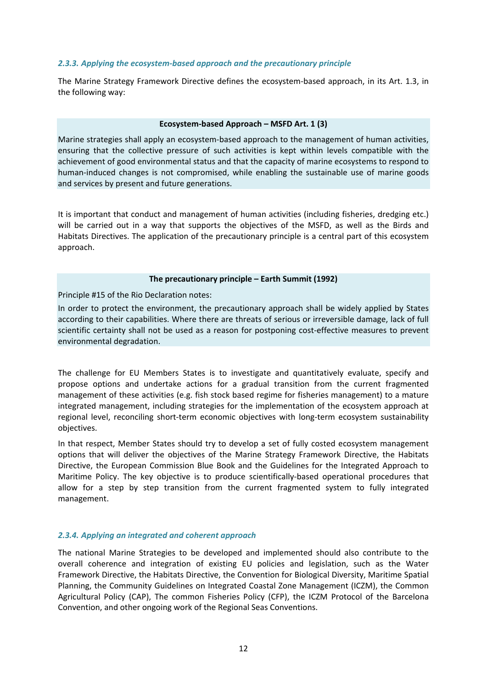#### *2.3.3. Applying the ecosystem‐based approach and the precautionary principle*

The Marine Strategy Framework Directive defines the ecosystem-based approach, in its Art. 1.3, in the following way:

#### **Ecosystem‐based Approach – MSFD Art. 1 (3)**

Marine strategies shall apply an ecosystem-based approach to the management of human activities, ensuring that the collective pressure of such activities is kept within levels compatible with the achievement of good environmental status and that the capacity of marine ecosystems to respond to human-induced changes is not compromised, while enabling the sustainable use of marine goods and services by present and future generations.

It is important that conduct and management of human activities (including fisheries, dredging etc.) will be carried out in a way that supports the objectives of the MSFD, as well as the Birds and Habitats Directives. The application of the precautionary principle is a central part of this ecosystem approach.

#### **The precautionary principle – Earth Summit (1992)**

Principle #15 of the Rio Declaration notes:

In order to protect the environment, the precautionary approach shall be widely applied by States according to their capabilities. Where there are threats of serious or irreversible damage, lack of full scientific certainty shall not be used as a reason for postponing cost-effective measures to prevent environmental degradation.

The challenge for EU Members States is to investigate and quantitatively evaluate, specify and propose options and undertake actions for a gradual transition from the current fragmented management of these activities (e.g. fish stock based regime for fisheries management) to a mature integrated management, including strategies for the implementation of the ecosystem approach at regional level, reconciling short-term economic objectives with long-term ecosystem sustainability objectives.

In that respect, Member States should try to develop a set of fully costed ecosystem management options that will deliver the objectives of the Marine Strategy Framework Directive, the Habitats Directive, the European Commission Blue Book and the Guidelines for the Integrated Approach to Maritime Policy. The key objective is to produce scientifically‐based operational procedures that allow for a step by step transition from the current fragmented system to fully integrated management.

#### *2.3.4. Applying an integrated and coherent approach*

The national Marine Strategies to be developed and implemented should also contribute to the overall coherence and integration of existing EU policies and legislation, such as the Water Framework Directive, the Habitats Directive, the Convention for Biological Diversity, Maritime Spatial Planning, the Community Guidelines on Integrated Coastal Zone Management (ICZM), the Common Agricultural Policy (CAP), The common Fisheries Policy (CFP), the ICZM Protocol of the Barcelona Convention, and other ongoing work of the Regional Seas Conventions.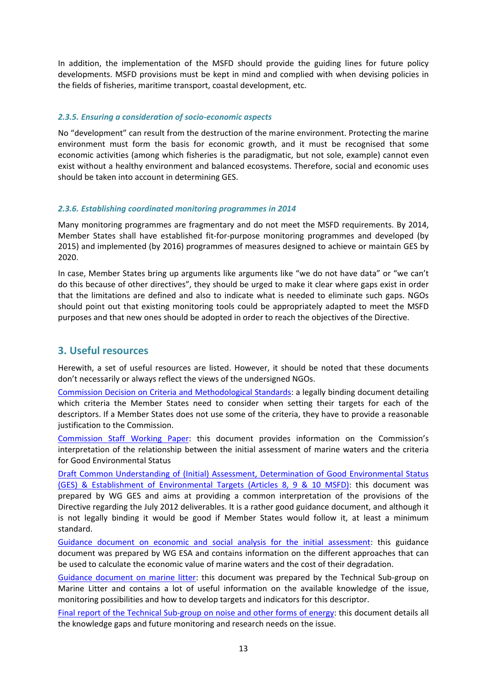In addition, the implementation of the MSFD should provide the guiding lines for future policy developments. MSFD provisions must be kept in mind and complied with when devising policies in the fields of fisheries, maritime transport, coastal development, etc.

#### *2.3.5. Ensuring a consideration of socio‐economic aspects*

No "development" can result from the destruction of the marine environment. Protecting the marine environment must form the basis for economic growth, and it must be recognised that some economic activities (among which fisheries is the paradigmatic, but not sole, example) cannot even exist without a healthy environment and balanced ecosystems. Therefore, social and economic uses should be taken into account in determining GES.

#### *2.3.6. Establishing coordinated monitoring programmes in 2014*

Many monitoring programmes are fragmentary and do not meet the MSFD requirements. By 2014, Member States shall have established fit-for-purpose monitoring programmes and developed (by 2015) and implemented (by 2016) programmes of measures designed to achieve or maintain GES by 2020.

In case, Member States bring up arguments like arguments like "we do not have data" or "we can't do this because of other directives", they should be urged to make it clear where gaps exist in order that the limitations are defined and also to indicate what is needed to eliminate such gaps. NGOs should point out that existing monitoring tools could be appropriately adapted to meet the MSFD purposes and that new ones should be adopted in order to reach the objectives of the Directive.

## **3. Useful resources**

Herewith, a set of useful resources are listed. However, it should be noted that these documents don't necessarily or always reflect the views of the undersigned NGOs.

Commission Decision on Criteria and Methodological Standards: a legally binding document detailing which criteria the Member States need to consider when setting their targets for each of the descriptors. If a Member States does not use some of the criteria, they have to provide a reasonable justification to the Commission.

Commission Staff Working Paper: this document provides information on the Commission's interpretation of the relationship between the initial assessment of marine waters and the criteria for Good Environmental Status

Draft Common Understanding of (Initial) Assessment, Determination of Good Environmental Status (GES) & Establishment of Environmental Targets (Articles 8, 9 & 10 MSFD): this document was prepared by WG GES and aims at providing a common interpretation of the provisions of the Directive regarding the July 2012 deliverables. It is a rather good guidance document, and although it is not legally binding it would be good if Member States would follow it, at least a minimum standard.

Guidance document on economic and social analysis for the initial assessment: this guidance document was prepared by WG ESA and contains information on the different approaches that can be used to calculate the economic value of marine waters and the cost of their degradation.

Guidance document on marine litter: this document was prepared by the Technical Sub‐group on Marine Litter and contains a lot of useful information on the available knowledge of the issue, monitoring possibilities and how to develop targets and indicators for this descriptor.

Final report of the Technical Sub-group on noise and other forms of energy: this document details all the knowledge gaps and future monitoring and research needs on the issue.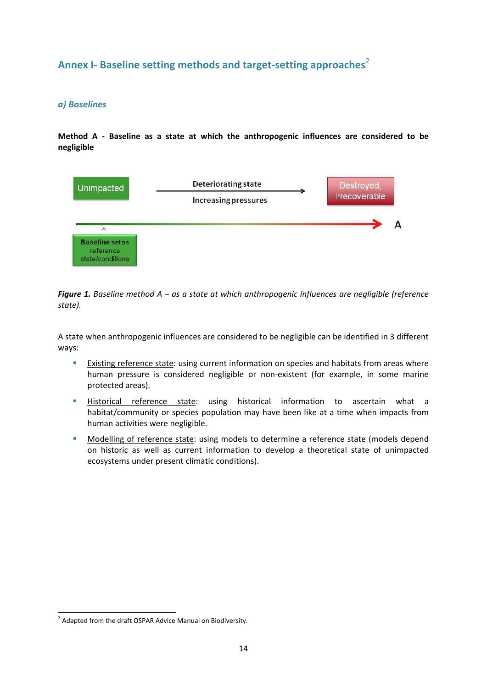## **Annex I‐ Baseline setting methods and target‐setting approaches**<sup>2</sup>

## *a) Baselines*

**Method A ‐ Baseline as a state at which the anthropogenic influences are considered to be negligible**



*Figure 1. Baseline method A – as a state at which anthropogenic influences are negligible (reference state).*

A state when anthropogenic influences are considered to be negligible can be identified in 3 different ways:

- **Existing reference state: using current information on species and habitats from areas where** human pressure is considered negligible or non‐existent (for example, in some marine protected areas).
- Historical reference state: using historical information to ascertain what a habitat/community or species population may have been like at a time when impacts from human activities were negligible.
- **•** Modelling of reference state: using models to determine a reference state (models depend on historic as well as current information to develop a theoretical state of unimpacted ecosystems under present climatic conditions).

1

<sup>&</sup>lt;sup>2</sup> Adapted from the draft OSPAR Advice Manual on Biodiversity.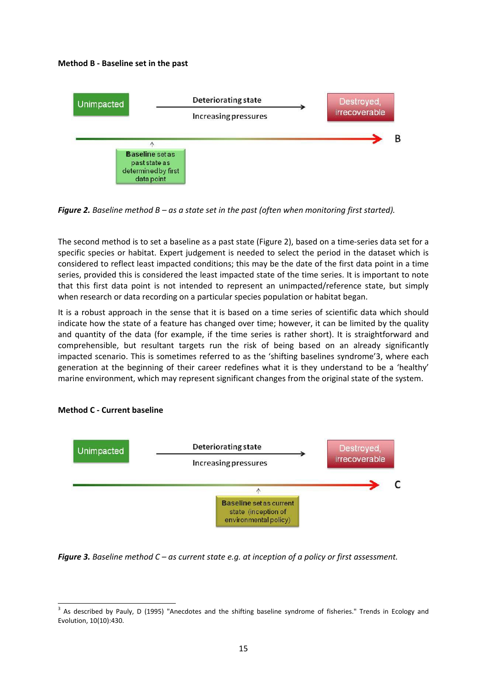#### **Method B ‐ Baseline set in the past**



*Figure 2. Baseline method B – as a state set in the past (often when monitoring first started).*

The second method is to set a baseline as a past state (Figure 2), based on a time‐series data set for a specific species or habitat. Expert judgement is needed to select the period in the dataset which is considered to reflect least impacted conditions; this may be the date of the first data point in a time series, provided this is considered the least impacted state of the time series. It is important to note that this first data point is not intended to represent an unimpacted/reference state, but simply when research or data recording on a particular species population or habitat began.

It is a robust approach in the sense that it is based on a time series of scientific data which should indicate how the state of a feature has changed over time; however, it can be limited by the quality and quantity of the data (for example, if the time series is rather short). It is straightforward and comprehensible, but resultant targets run the risk of being based on an already significantly impacted scenario. This is sometimes referred to as the 'shifting baselines syndrome'3, where each generation at the beginning of their career redefines what it is they understand to be a 'healthy' marine environment, which may represent significant changes from the original state of the system.



#### **Method C ‐ Current baseline**

-

*Figure 3. Baseline method C – as current state e.g. at inception of a policy or first assessment.*

<sup>&</sup>lt;sup>3</sup> As described by Pauly, D (1995) "Anecdotes and the shifting baseline syndrome of fisheries." Trends in Ecology and Evolution, 10(10):430.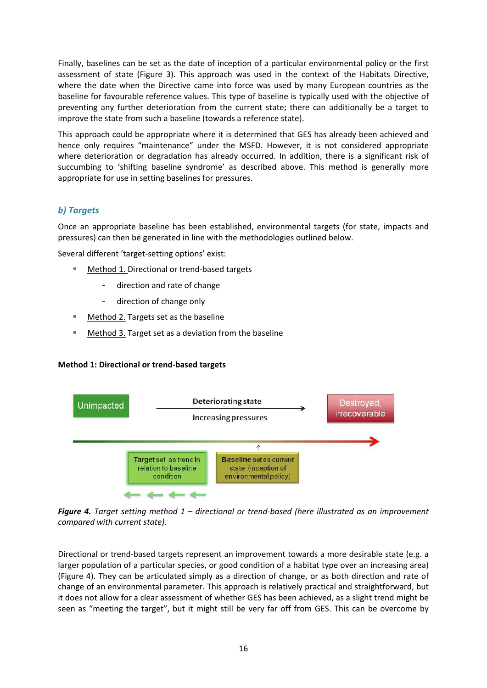Finally, baselines can be set as the date of inception of a particular environmental policy or the first assessment of state (Figure 3). This approach was used in the context of the Habitats Directive, where the date when the Directive came into force was used by many European countries as the baseline for favourable reference values. This type of baseline is typically used with the objective of preventing any further deterioration from the current state; there can additionally be a target to improve the state from such a baseline (towards a reference state).

This approach could be appropriate where it is determined that GES has already been achieved and hence only requires "maintenance" under the MSFD. However, it is not considered appropriate where deterioration or degradation has already occurred. In addition, there is a significant risk of succumbing to 'shifting baseline syndrome' as described above. This method is generally more appropriate for use in setting baselines for pressures.

## *b) Targets*

Once an appropriate baseline has been established, environmental targets (for state, impacts and pressures) can then be generated in line with the methodologies outlined below.

Several different 'target‐setting options' exist:

- Method 1. Directional or trend‐based targets
	- direction and rate of change
	- direction of change only
- **Method 2. Targets set as the baseline**
- Method 3. Target set as a deviation from the baseline

#### **Method 1: Directional or trend‐based targets**



*Figure 4. Target setting method 1 – directional or trend‐based (here illustrated as an improvement compared with current state).*

Directional or trend‐based targets represent an improvement towards a more desirable state (e.g. a larger population of a particular species, or good condition of a habitat type over an increasing area) (Figure 4). They can be articulated simply as a direction of change, or as both direction and rate of change of an environmental parameter. This approach is relatively practical and straightforward, but it does not allow for a clear assessment of whether GES has been achieved, as a slight trend might be seen as "meeting the target", but it might still be very far off from GES. This can be overcome by